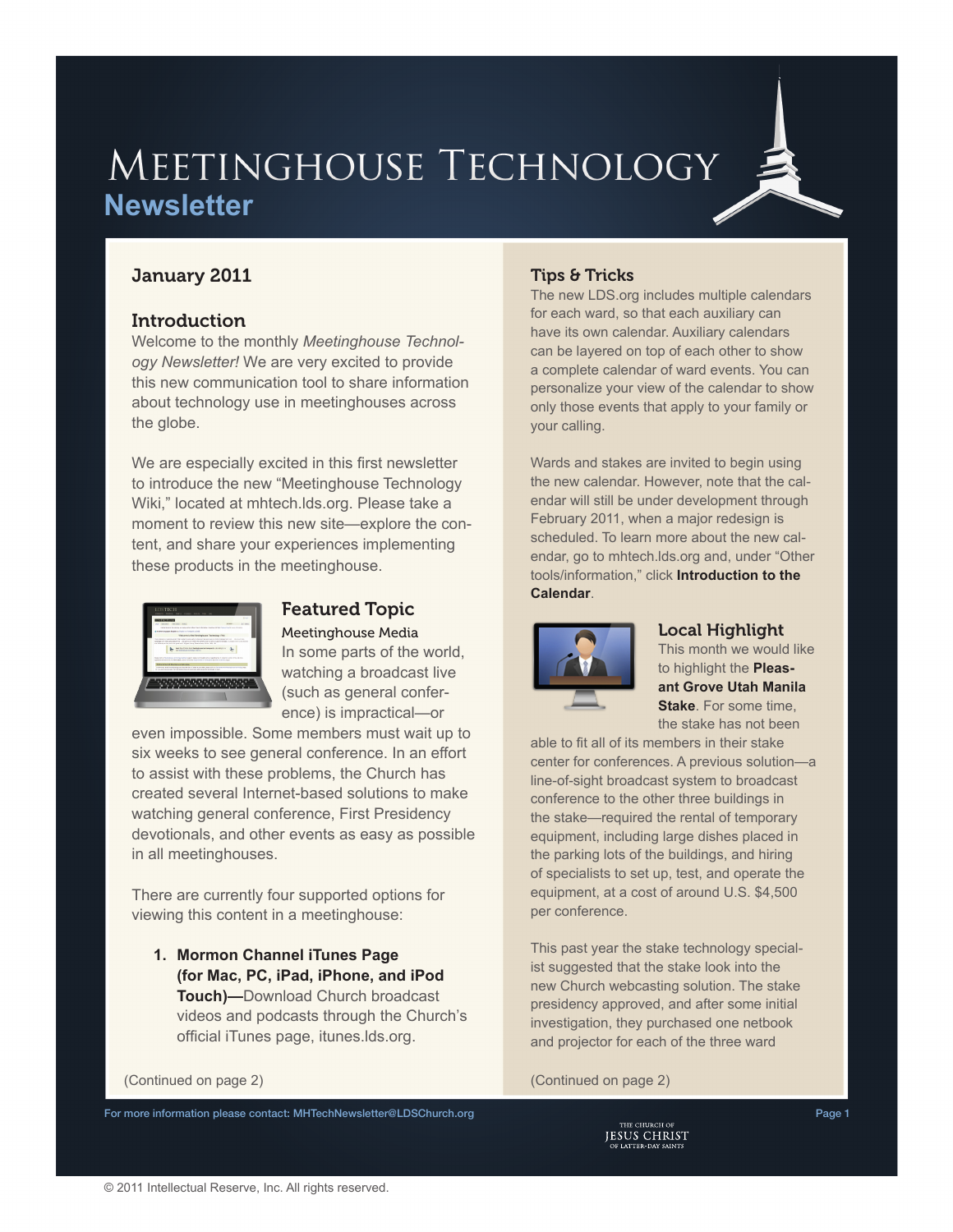# MEETINGHOUSE TECHNOLOGY **Newsletter**

# January 2011

## Introduction

Welcome to the monthly *Meetinghouse Technology Newsletter!* We are very excited to provide this new communication tool to share information about technology use in meetinghouses across the globe.

We are especially excited in this first newsletter to introduce the new "[Meetinghouse Technology](http://mhtech.lds.org)  [Wiki,](http://mhtech.lds.org)" located at mh[tech.lds.org](http://mhtech.lds.org). Please take a moment to review this new site—explore the content, and share your experiences implementing these products in the meetinghouse.



# Featured Topic

Meetinghouse Media In some parts of the world, watching a broadcast live (such as general conference) is impractical—or

even impossible. Some members must wait up to six weeks to see general conference. In an effort to assist with these problems, the Church has created several Internet-based solutions to make watching general conference, First Presidency devotionals, and other events as easy as possible in all meetinghouses.

There are currently four supported options for viewing this content in a meetinghouse:

**1. Mormon Channel iTunes Page (for Mac, PC, iPad, iPhone, and iPod Touch)—**Download Church broadcast videos and podcasts through the Church's official iTunes page, [itunes.lds.org.](http://itunes.lds.org)

### (Continued on page 2) (Continued on page 2)

For more information please contact: [MHTechNewsletter@LDSChurch.org](mailto:mhtechnewsletter%40ldschurch.org?subject=) Page 1 2004 1 2006 1 2006 1 2009 1 2009 1 2009 1

### Tips & Tricks

The new [LDS.org](http://lds.org) includes multiple calendars for each ward, so that each auxiliary can have its own calendar. Auxiliary calendars can be layered on top of each other to show a complete calendar of ward events. You can personalize your view of the calendar to show only those events that apply to your family or your calling.

Wards and stakes are invited to begin using the new calendar. However, note that the calendar will still be under development through February 2011, when a major redesign is scheduled. To learn more about the new calendar, go to mh[tech.lds.org](https://tech.lds.org/wiki/index.php/Meetinghouse_technology) and, under "Other tools/information," click **Introduction to the Calendar**.



### Local Highlight

This month we would like to highlight the **Pleasant Grove Utah Manila Stake**. For some time, the stake has not been

able to fit all of its members in their stake center for conferences. A previous solution—a line-of-sight broadcast system to broadcast conference to the other three buildings in the stake—required the rental of temporary equipment, including large dishes placed in the parking lots of the buildings, and hiring of specialists to set up, test, and operate the equipment, at a cost of around U.S. \$4,500 per conference.

This past year the stake technology specialist suggested that the stake look into the new Church webcasting solution. The stake presidency approved, and after some initial investigation, they purchased one netbook and projector for each of the three ward